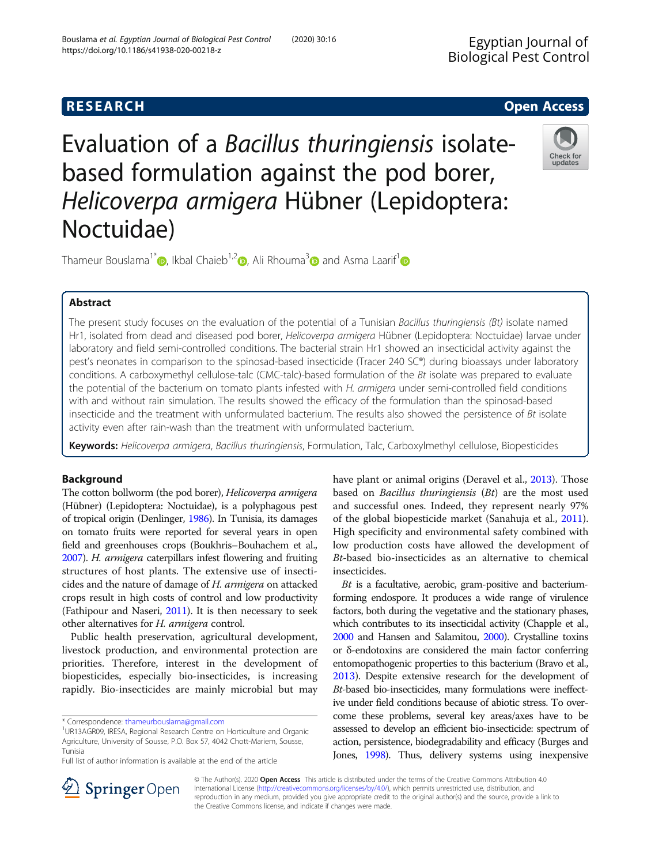## **RESEARCH CHE Open Access**

# Evaluation of a Bacillus thuringiensis isolatebased formulation against the pod borer, Helicoverpa armigera Hübner (Lepidoptera: Noctuidae)



Thameur Bouslama<sup>1\*</sup> [,](https://orcid.org/0000-0002-7429-3198) Ikbal Chaieb<sup>1,[2](https://orcid.org/0000-0002-7556-7197)</sup> , Ali Rhouma<sup>[3](https://orcid.org/0000-0003-1271-4409)</sup> and Asma Laarif<sup>[1](https://orcid.org/0000-0003-2792-9904)</sup>

### Abstract

The present study focuses on the evaluation of the potential of a Tunisian Bacillus thuringiensis (Bt) isolate named Hr1, isolated from dead and diseased pod borer, Helicoverpa armigera Hübner (Lepidoptera: Noctuidae) larvae under laboratory and field semi-controlled conditions. The bacterial strain Hr1 showed an insecticidal activity against the pest's neonates in comparison to the spinosad-based insecticide (Tracer 240 SC®) during bioassays under laboratory conditions. A carboxymethyl cellulose-talc (CMC-talc)-based formulation of the Bt isolate was prepared to evaluate the potential of the bacterium on tomato plants infested with H. armigera under semi-controlled field conditions with and without rain simulation. The results showed the efficacy of the formulation than the spinosad-based insecticide and the treatment with unformulated bacterium. The results also showed the persistence of Bt isolate activity even after rain-wash than the treatment with unformulated bacterium.

Keywords: Helicoverpa armigera, Bacillus thuringiensis, Formulation, Talc, Carboxylmethyl cellulose, Biopesticides

#### Background

The cotton bollworm (the pod borer), Helicoverpa armigera (Hübner) (Lepidoptera: Noctuidae), is a polyphagous pest of tropical origin (Denlinger, [1986](#page-6-0)). In Tunisia, its damages on tomato fruits were reported for several years in open field and greenhouses crops (Boukhris–Bouhachem et al., [2007\)](#page-6-0). H. armigera caterpillars infest flowering and fruiting structures of host plants. The extensive use of insecticides and the nature of damage of H. armigera on attacked crops result in high costs of control and low productivity (Fathipour and Naseri, [2011](#page-6-0)). It is then necessary to seek other alternatives for H. armigera control.

Public health preservation, agricultural development, livestock production, and environmental protection are priorities. Therefore, interest in the development of biopesticides, especially bio-insecticides, is increasing rapidly. Bio-insecticides are mainly microbial but may

have plant or animal origins (Deravel et al., [2013](#page-6-0)). Those based on Bacillus thuringiensis (Bt) are the most used and successful ones. Indeed, they represent nearly 97% of the global biopesticide market (Sanahuja et al., [2011](#page-6-0)). High specificity and environmental safety combined with low production costs have allowed the development of Bt-based bio-insecticides as an alternative to chemical insecticides.

Bt is a facultative, aerobic, gram-positive and bacteriumforming endospore. It produces a wide range of virulence factors, both during the vegetative and the stationary phases, which contributes to its insecticidal activity (Chapple et al., [2000](#page-6-0) and Hansen and Salamitou, [2000](#page-6-0)). Crystalline toxins or δ-endotoxins are considered the main factor conferring entomopathogenic properties to this bacterium (Bravo et al., [2013\)](#page-6-0). Despite extensive research for the development of Bt-based bio-insecticides, many formulations were ineffective under field conditions because of abiotic stress. To overcome these problems, several key areas/axes have to be assessed to develop an efficient bio-insecticide: spectrum of action, persistence, biodegradability and efficacy (Burges and Jones, [1998\)](#page-6-0). Thus, delivery systems using inexpensive



© The Author(s). 2020 Open Access This article is distributed under the terms of the Creative Commons Attribution 4.0 International License ([http://creativecommons.org/licenses/by/4.0/\)](http://creativecommons.org/licenses/by/4.0/), which permits unrestricted use, distribution, and reproduction in any medium, provided you give appropriate credit to the original author(s) and the source, provide a link to the Creative Commons license, and indicate if changes were made.

<sup>\*</sup> Correspondence: [thameurbouslama@gmail.com](mailto:thameurbouslama@gmail.com) <sup>1</sup>

UR13AGR09, IRESA, Regional Research Centre on Horticulture and Organic Agriculture, University of Sousse, P.O. Box 57, 4042 Chott-Mariem, Sousse, Tunisia

Full list of author information is available at the end of the article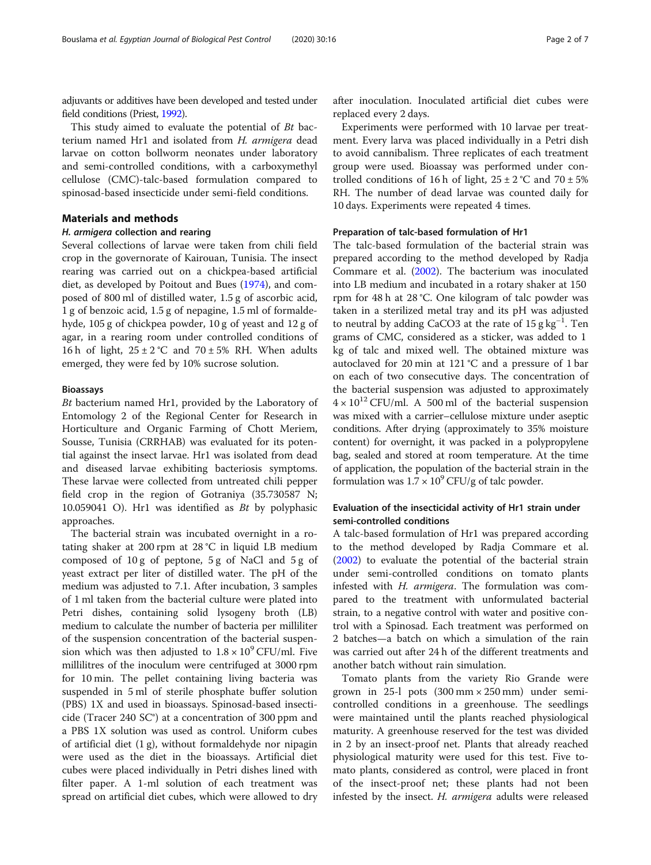adjuvants or additives have been developed and tested under field conditions (Priest, [1992](#page-6-0)).

This study aimed to evaluate the potential of Bt bacterium named Hr1 and isolated from H. armigera dead larvae on cotton bollworm neonates under laboratory and semi-controlled conditions, with a carboxymethyl cellulose (CMC)-talc-based formulation compared to spinosad-based insecticide under semi-field conditions.

#### Materials and methods

#### H. armigera collection and rearing

Several collections of larvae were taken from chili field crop in the governorate of Kairouan, Tunisia. The insect rearing was carried out on a chickpea-based artificial diet, as developed by Poitout and Bues ([1974](#page-6-0)), and composed of 800 ml of distilled water, 1.5 g of ascorbic acid, 1 g of benzoic acid, 1.5 g of nepagine, 1.5 ml of formaldehyde, 105 g of chickpea powder, 10 g of yeast and 12 g of agar, in a rearing room under controlled conditions of 16 h of light,  $25 \pm 2$  °C and  $70 \pm 5$ % RH. When adults emerged, they were fed by 10% sucrose solution.

#### Bioassays

Bt bacterium named Hr1, provided by the Laboratory of Entomology 2 of the Regional Center for Research in Horticulture and Organic Farming of Chott Meriem, Sousse, Tunisia (CRRHAB) was evaluated for its potential against the insect larvae. Hr1 was isolated from dead and diseased larvae exhibiting bacteriosis symptoms. These larvae were collected from untreated chili pepper field crop in the region of Gotraniya (35.730587 N; 10.059041 O). Hr1 was identified as Bt by polyphasic approaches.

The bacterial strain was incubated overnight in a rotating shaker at 200 rpm at 28 °C in liquid LB medium composed of 10 g of peptone, 5 g of NaCl and 5 g of yeast extract per liter of distilled water. The pH of the medium was adjusted to 7.1. After incubation, 3 samples of 1 ml taken from the bacterial culture were plated into Petri dishes, containing solid lysogeny broth (LB) medium to calculate the number of bacteria per milliliter of the suspension concentration of the bacterial suspension which was then adjusted to  $1.8 \times 10^9$  CFU/ml. Five millilitres of the inoculum were centrifuged at 3000 rpm for 10 min. The pellet containing living bacteria was suspended in 5 ml of sterile phosphate buffer solution (PBS) 1X and used in bioassays. Spinosad-based insecticide (Tracer 240  $SC^{\circ}$ ) at a concentration of 300 ppm and a PBS 1X solution was used as control. Uniform cubes of artificial diet (1 g), without formaldehyde nor nipagin were used as the diet in the bioassays. Artificial diet cubes were placed individually in Petri dishes lined with filter paper. A 1-ml solution of each treatment was spread on artificial diet cubes, which were allowed to dry

after inoculation. Inoculated artificial diet cubes were replaced every 2 days.

Experiments were performed with 10 larvae per treatment. Every larva was placed individually in a Petri dish to avoid cannibalism. Three replicates of each treatment group were used. Bioassay was performed under controlled conditions of 16 h of light,  $25 \pm 2$  °C and  $70 \pm 5$ % RH. The number of dead larvae was counted daily for 10 days. Experiments were repeated 4 times.

#### Preparation of talc-based formulation of Hr1

The talc-based formulation of the bacterial strain was prepared according to the method developed by Radja Commare et al. ([2002](#page-6-0)). The bacterium was inoculated into LB medium and incubated in a rotary shaker at 150 rpm for 48 h at 28 °C. One kilogram of talc powder was taken in a sterilized metal tray and its pH was adjusted to neutral by adding CaCO3 at the rate of  $15 g\ kg^{-1}$ . Ten grams of CMC, considered as a sticker, was added to 1 kg of talc and mixed well. The obtained mixture was autoclaved for 20 min at 121 °C and a pressure of 1 bar on each of two consecutive days. The concentration of the bacterial suspension was adjusted to approximately  $4 \times 10^{12}$  CFU/ml. A 500 ml of the bacterial suspension was mixed with a carrier–cellulose mixture under aseptic conditions. After drying (approximately to 35% moisture content) for overnight, it was packed in a polypropylene bag, sealed and stored at room temperature. At the time of application, the population of the bacterial strain in the formulation was  $1.7 \times 10^9$  CFU/g of talc powder.

#### Evaluation of the insecticidal activity of Hr1 strain under semi-controlled conditions

A talc-based formulation of Hr1 was prepared according to the method developed by Radja Commare et al. ([2002\)](#page-6-0) to evaluate the potential of the bacterial strain under semi-controlled conditions on tomato plants infested with H. armigera. The formulation was compared to the treatment with unformulated bacterial strain, to a negative control with water and positive control with a Spinosad. Each treatment was performed on 2 batches—a batch on which a simulation of the rain was carried out after 24 h of the different treatments and another batch without rain simulation.

Tomato plants from the variety Rio Grande were grown in 25-1 pots  $(300 \text{ mm} \times 250 \text{ mm})$  under semicontrolled conditions in a greenhouse. The seedlings were maintained until the plants reached physiological maturity. A greenhouse reserved for the test was divided in 2 by an insect-proof net. Plants that already reached physiological maturity were used for this test. Five tomato plants, considered as control, were placed in front of the insect-proof net; these plants had not been infested by the insect. H. armigera adults were released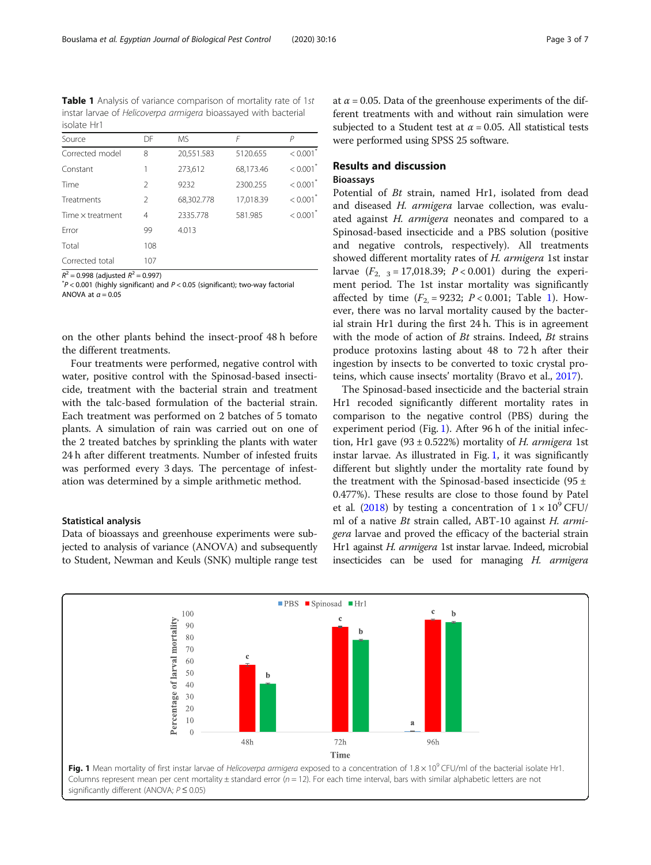Table 1 Analysis of variance comparison of mortality rate of 1st instar larvae of Helicoverpa armigera bioassayed with bacterial isolate Hr1

| Source           | DF            | MS.        | F         | Р                      |  |
|------------------|---------------|------------|-----------|------------------------|--|
| Corrected model  | 8             | 20,551.583 | 5120.655  | $< 0.001$ <sup>*</sup> |  |
| Constant         |               | 273,612    | 68,173.46 | $< 0.001$ <sup>*</sup> |  |
| Time             | $\mathcal{P}$ | 9232       | 2300.255  | $< 0.001$ <sup>*</sup> |  |
| Treatments       | $\mathcal{P}$ | 68,302.778 | 17,018.39 | $< 0.001$ <sup>*</sup> |  |
| Time x treatment | 4             | 2335.778   | 581.985   | < 0.001                |  |
| Frror            | 99            | 4.013      |           |                        |  |
| Total            | 108           |            |           |                        |  |
| Corrected total  | 107           |            |           |                        |  |

 $R^2 = 0.998$  (adjusted  $R^2 = 0.997$ )

 $P$  < 0.001 (highly significant) and  $P$  < 0.05 (significant); two-way factorial ANOVA at  $a = 0.05$ 

on the other plants behind the insect-proof 48 h before the different treatments.

Four treatments were performed, negative control with water, positive control with the Spinosad-based insecticide, treatment with the bacterial strain and treatment with the talc-based formulation of the bacterial strain. Each treatment was performed on 2 batches of 5 tomato plants. A simulation of rain was carried out on one of the 2 treated batches by sprinkling the plants with water 24 h after different treatments. Number of infested fruits was performed every 3 days. The percentage of infestation was determined by a simple arithmetic method.

#### Statistical analysis

Data of bioassays and greenhouse experiments were subjected to analysis of variance (ANOVA) and subsequently to Student, Newman and Keuls (SNK) multiple range test at  $\alpha$  = 0.05. Data of the greenhouse experiments of the different treatments with and without rain simulation were subjected to a Student test at  $\alpha$  = 0.05. All statistical tests were performed using SPSS 25 software.

#### Results and discussion

#### Bioassays

Potential of Bt strain, named Hr1, isolated from dead and diseased H. armigera larvae collection, was evaluated against H. armigera neonates and compared to a Spinosad-based insecticide and a PBS solution (positive and negative controls, respectively). All treatments showed different mortality rates of H. armigera 1st instar larvae  $(F_{2, 3} = 17,018.39; P < 0.001)$  during the experiment period. The 1st instar mortality was significantly affected by time  $(F_2 = 9232; P < 0.001;$  Table 1). However, there was no larval mortality caused by the bacterial strain Hr1 during the first 24 h. This is in agreement with the mode of action of *Bt* strains. Indeed, *Bt* strains produce protoxins lasting about 48 to 72 h after their ingestion by insects to be converted to toxic crystal proteins, which cause insects' mortality (Bravo et al., [2017](#page-6-0)).

The Spinosad-based insecticide and the bacterial strain Hr1 recoded significantly different mortality rates in comparison to the negative control (PBS) during the experiment period (Fig. 1). After 96 h of the initial infection, Hr1 gave  $(93 \pm 0.522%)$  mortality of H. armigera 1st instar larvae. As illustrated in Fig. 1, it was significantly different but slightly under the mortality rate found by the treatment with the Spinosad-based insecticide (95  $\pm$ 0.477%). These results are close to those found by Patel et al. ([2018](#page-6-0)) by testing a concentration of  $1 \times 10^9$  CFU/ ml of a native Bt strain called, ABT-10 against H. armigera larvae and proved the efficacy of the bacterial strain Hr1 against H. armigera 1st instar larvae. Indeed, microbial insecticides can be used for managing H. armigera

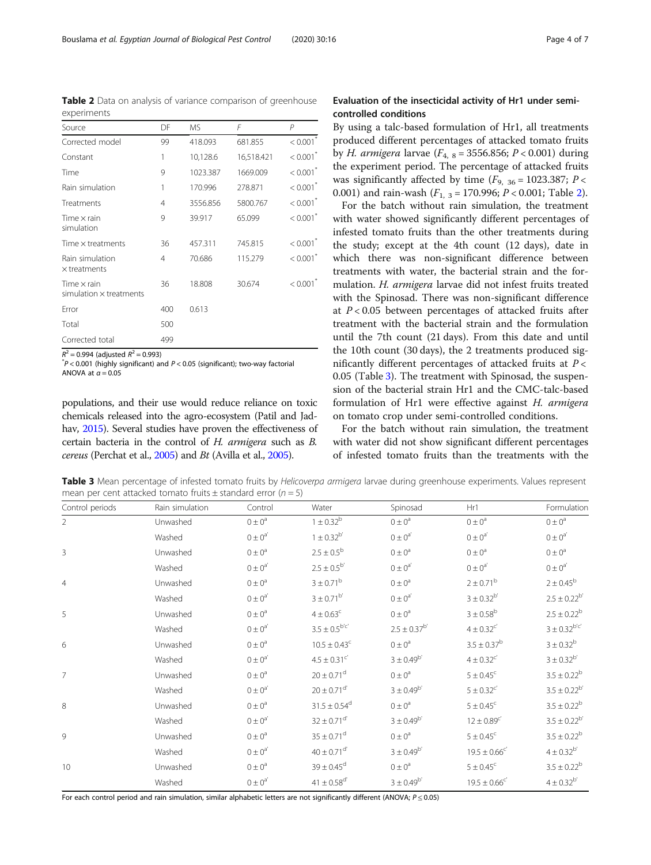populations, and their use would reduce reliance on toxic chemicals released into the agro-ecosystem (Patil and Jadhav, [2015](#page-6-0)). Several studies have proven the effectiveness of certain bacteria in the control of H. armigera such as B. cereus (Perchat et al., [2005\)](#page-6-0) and Bt (Avilla et al., [2005\)](#page-6-0).

Table 3 Mean percentage of infested tomato fruits by Helicoverpa armigera larvae during greenhouse experiments. Values represent mean per cent attacked tomato fruits  $\pm$  standard error ( $n = 5$ )

Control periods Rain simulation Control Water Spinosad Hr1 Formulation

|   | Unwashed | $0 \pm 0^a$        | $1 \pm 0.32^b$               | $0 \pm 0^a$           | $0 \pm 0^a$                | $0 \pm 0^a$          |
|---|----------|--------------------|------------------------------|-----------------------|----------------------------|----------------------|
|   | Washed   | $0 \pm 0^a$        | $1 \pm 0.32^{b'}$            | $0 \pm 0^{a'}$        | $0 \pm 0^a$                | $0 \pm 0^{a'}$       |
| 3 | Unwashed | $0 \pm 0^a$        | $2.5 \pm 0.5^{\rm b}$        | $0 \pm 0^a$           | $0 \pm 0^a$                | $0 \pm 0^a$          |
|   | Washed   | $0 \pm 0^a$        | $2.5 \pm 0.5^{b'}$           | $0 \pm 0^{a'}$        | $0 \pm 0^{\rm a'}$         | $0 \pm 0^{a'}$       |
|   | Unwashed | $0 \pm 0^a$        | $3 \pm 0.71^{\rm b}$         | $0 \pm 0^a$           | $2 \pm 0.71^{\rm b}$       | $2 \pm 0.45^{\rm b}$ |
|   | Washed   | $0 \pm 0^{\rm a'}$ | $3 \pm 0.71^{b'}$            | $0 \pm 0^a$           | $3 \pm 0.32^{b'}$          | $2.5 \pm 0.22^b$     |
| 5 | Unwashed | $0 \pm 0^a$        | $4 \pm 0.63^{\circ}$         | $0 \pm 0^a$           | $3 \pm 0.58^{\rm b}$       | $2.5 \pm 0.22^b$     |
|   | Washed   | $0 \pm 0^a$        | $3.5 \pm 0.5^{b'c'}$         | $2.5 \pm 0.37^{b'}$   | $4 \pm 0.32$ <sup>c'</sup> | $3 \pm 0.32^{b'c'}$  |
| 6 | Unwashed | $0 \pm 0^a$        | $10.5 \pm 0.43^{\circ}$      | $0 \pm 0^a$           | $3.5 \pm 0.37^b$           | $3 \pm 0.32^b$       |
|   | Washed   | $0 \pm 0^{\rm a'}$ | $4.5 \pm 0.31$ <sup>c'</sup> | $3 \pm 0.49^{\rm b'}$ | $4 \pm 0.32$ <sup>c'</sup> | $3 \pm 0.32^{b'}$    |
|   | Unwashed | $0 \pm 0^a$        | $20 \pm 0.71$ <sup>d</sup>   | $0 \pm 0^a$           | $5 \pm 0.45$ <sup>c</sup>  | $3.5 \pm 0.22^b$     |
|   | Washed   | $0 \pm 0^{\rm a'}$ | $20 \pm 0.71$ <sup>d'</sup>  | $3 \pm 0.49^{b'}$     | $5 \pm 0.32$ <sup>c'</sup> | $3.5 \pm 0.22^{b}$   |

8 Unwashed  $0 \pm 0^a$   $31.5 \pm 0.54^d$   $0 \pm 0^a$   $5 \pm 0.45^c$   $3.5 \pm 0.22^b$ 

9 Unwashed  $0 \pm 0^a$   $35 \pm 0.71^d$   $0 \pm 0^a$   $5 \pm 0.45^c$   $3.5 \pm 0.22^b$ 

10 Unwashed  $0 \pm 0^a$  39  $\pm 0.45^d$   $0 \pm 0^a$  5  $\pm 0.45^c$  3.5  $\pm 0.22^b$ 

Washed  $0 \pm 0^{a'}$   $32 \pm 0.71^{d'}$   $3 \pm 0.49^{b'}$   $12 \pm 0.89^{c'}$   $3.5 \pm 0.22^{b}$ 

Washed  $0 \pm 0^{a'}$   $40 \pm 0.71^{d'}$   $3 \pm 0.49^{b'}$   $19.5 \pm 0.66^{c'}$   $4 \pm 0.32^{b}$ 

Washed  $0 \pm 0^{a'}$   $41 \pm 0.58^{d'}$   $3 \pm 0.49^{b'}$   $19.5 \pm 0.66^{c'}$   $4 \pm 0.32^{b}$ 

#### <span id="page-3-0"></span>Table 2 Data on analysis of variance comparison of greenhouse experiments

| Source                                               | DF  | <b>MS</b> | F          | $\overline{P}$         |
|------------------------------------------------------|-----|-----------|------------|------------------------|
| Corrected model                                      | 99  | 418.093   | 681.855    | < 0.001                |
| Constant                                             | 1   | 10,128.6  | 16,518.421 | $< 0.001$ <sup>*</sup> |
| Time                                                 | 9   | 1023.387  | 1669.009   | $< 0.001$ <sup>*</sup> |
| Rain simulation                                      | 1   | 170.996   | 278.871    | $< 0.001$ <sup>*</sup> |
| Treatments                                           | 4   | 3556.856  | 5800.767   | < 0.001                |
| Time $\times$ rain<br>simulation                     | 9   | 39.917    | 65.099     | $< 0.001$ <sup>*</sup> |
| Time $\times$ treatments                             | 36  | 457.311   | 745.815    | < 0.001                |
| Rain simulation<br>$\times$ treatments               | 4   | 70.686    | 115.279    | $< 0.001$ <sup>*</sup> |
| Time $\times$ rain<br>$simulation \times treatments$ | 36  | 18.808    | 30.674     | < 0.001                |
| Frror                                                | 400 | 0.613     |            |                        |
| Total                                                | 500 |           |            |                        |
| Corrected total                                      | 499 |           |            |                        |

 $R^2 = 0.994$  (adjusted  $R^2 = 0.993$ )

 $p^*$ P < 0.001 (highly significant) and P < 0.05 (significant); two-way factorial ANOVA at  $q = 0.05$ 

#### Evaluation of the insecticidal activity of Hr1 under semicontrolled conditions

By using a talc-based formulation of Hr1, all treatments produced different percentages of attacked tomato fruits by *H. armigera* larvae ( $F_{4, 8}$  = 3556.856; *P* < 0.001) during the experiment period. The percentage of attacked fruits was significantly affected by time  $(F_{9, 36} = 1023.387; P <$ 0.001) and rain-wash  $(F_{1,3} = 170.996; P < 0.001;$  Table 2).

For the batch without rain simulation, the treatment with water showed significantly different percentages of infested tomato fruits than the other treatments during the study; except at the 4th count (12 days), date in which there was non-significant difference between treatments with water, the bacterial strain and the formulation. H. armigera larvae did not infest fruits treated with the Spinosad. There was non-significant difference at  $P < 0.05$  between percentages of attacked fruits after treatment with the bacterial strain and the formulation until the 7th count (21 days). From this date and until the 10th count (30 days), the 2 treatments produced significantly different percentages of attacked fruits at  $P <$ 0.05 (Table 3). The treatment with Spinosad, the suspension of the bacterial strain Hr1 and the CMC-talc-based formulation of Hr1 were effective against H. armigera on tomato crop under semi-controlled conditions.

For the batch without rain simulation, the treatment with water did not show significant different percentages of infested tomato fruits than the treatments with the

For each control period and rain simulation, similar alphabetic letters are not significantly different (ANOVA;  $P \le 0.05$ )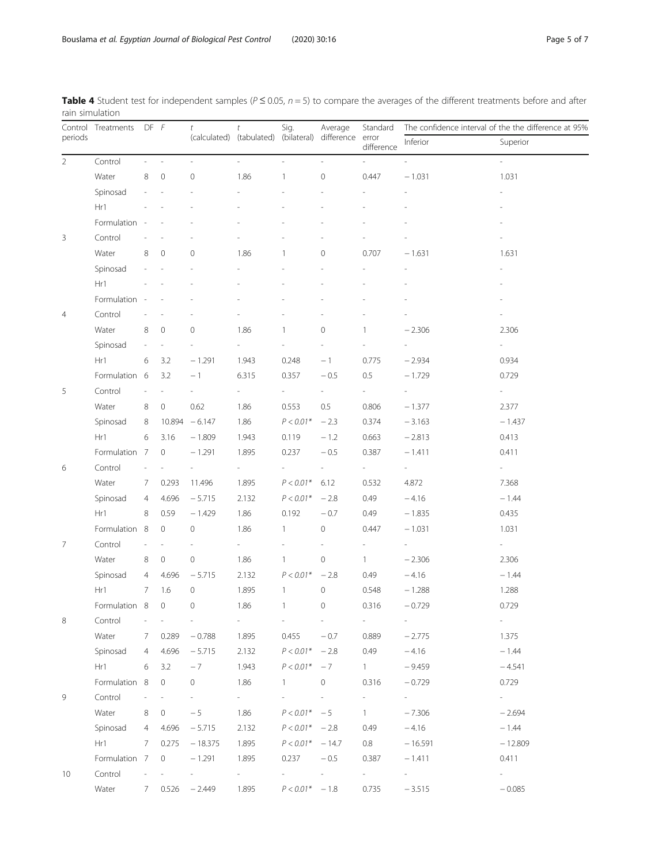| periods        | Control Treatments |                | $DF$ $F$                 | t                        | t<br>(calculated) (tabulated) (bilateral) difference | Sig.                     | Average                  | Standard<br>error<br>difference | The confidence interval of the the difference at 95% |                          |
|----------------|--------------------|----------------|--------------------------|--------------------------|------------------------------------------------------|--------------------------|--------------------------|---------------------------------|------------------------------------------------------|--------------------------|
|                |                    |                |                          |                          |                                                      |                          |                          |                                 | Inferior                                             | Superior                 |
| $\overline{2}$ | Control            |                | $\overline{\phantom{a}}$ | $\overline{\phantom{a}}$ | $\overline{\phantom{a}}$                             | $\overline{\phantom{a}}$ | $\overline{\phantom{a}}$ | ÷                               | $\overline{\phantom{a}}$                             | $\overline{\phantom{a}}$ |
|                | Water              | 8              | $\mathbf 0$              | $\mathbf 0$              | 1.86                                                 | 1                        | $\mathbf 0$              | 0.447                           | $-1.031$                                             | 1.031                    |
|                | Spinosad           |                |                          |                          |                                                      |                          |                          |                                 |                                                      |                          |
|                | Hr1                |                |                          |                          |                                                      |                          |                          |                                 |                                                      |                          |
|                | Formulation        |                |                          |                          |                                                      |                          |                          |                                 |                                                      |                          |
| 3              | Control            |                |                          |                          |                                                      |                          |                          |                                 |                                                      |                          |
|                | Water              | 8              | $\mathbf 0$              | $\mathbf 0$              | 1.86                                                 |                          | $\mathbf{O}$             | 0.707                           | $-1.631$                                             | 1.631                    |
|                | Spinosad           |                |                          |                          |                                                      |                          |                          |                                 |                                                      |                          |
|                | Hr1                |                |                          |                          |                                                      |                          |                          |                                 |                                                      |                          |
|                | Formulation        |                |                          |                          |                                                      |                          |                          |                                 |                                                      |                          |
| 4              | Control            |                |                          |                          |                                                      |                          |                          |                                 |                                                      |                          |
|                | Water              | 8              | 0                        | 0                        | 1.86                                                 | 1                        | 0                        | 1                               | $-2.306$                                             | 2.306                    |
|                | Spinosad           |                |                          |                          |                                                      |                          |                          |                                 |                                                      | $\sim$                   |
|                | Hr1                | 6              | 3.2                      | $-1.291$                 | 1.943                                                | 0.248                    | $-1$                     | 0.775                           | $-2.934$                                             | 0.934                    |
|                | Formulation 6      |                | 3.2                      | $-1$                     | 6.315                                                | 0.357                    | $-0.5$                   | 0.5                             | $-1.729$                                             | 0.729                    |
| 5              | Control            |                |                          |                          | $\overline{\phantom{a}}$                             | $\overline{\phantom{a}}$ | $\sim$                   | $\overline{\phantom{a}}$        | $\overline{\phantom{a}}$                             | $\sim$                   |
|                | Water              | 8              | $\circ$                  | 0.62                     | 1.86                                                 | 0.553                    | 0.5                      | 0.806                           | $-1.377$                                             | 2.377                    |
|                | Spinosad           | 8              | 10.894                   | $-6.147$                 | 1.86                                                 | $P < 0.01*$              | $-2.3$                   | 0.374                           | $-3.163$                                             | $-1.437$                 |
|                | Hr1                | 6              | 3.16                     | $-1.809$                 | 1.943                                                | 0.119                    | $-1.2$                   | 0.663                           | $-2.813$                                             | 0.413                    |
|                | Formulation 7      |                | $\mathbf 0$              | $-1.291$                 | 1.895                                                | 0.237                    | $-0.5$                   | 0.387                           | $-1.411$                                             | 0.411                    |
| 6              | Control            |                |                          |                          |                                                      |                          |                          |                                 | $\overline{\phantom{a}}$                             | $\sim 10^{-11}$          |
|                | Water              | 7              | 0.293                    | 11.496                   | 1.895                                                | $P < 0.01*$              | 6.12                     | 0.532                           | 4.872                                                | 7.368                    |
|                | Spinosad           | 4              | 4.696                    | $-5.715$                 | 2.132                                                | $P < 0.01*$              | $-2.8$                   | 0.49                            | $-4.16$                                              | $-1.44$                  |
|                | Hr1                | 8              | 0.59                     | $-1.429$                 | 1.86                                                 | 0.192                    | $-0.7$                   | 0.49                            | $-1.835$                                             | 0.435                    |
|                | Formulation 8      |                | 0                        | $\mathbf 0$              | 1.86                                                 | 1                        | $\mathbf 0$              | 0.447                           | $-1.031$                                             | 1.031                    |
| 7              | Control            |                | $\overline{\phantom{a}}$ |                          | $\sim$                                               |                          |                          |                                 |                                                      | $\sim 10^{-11}$          |
|                | Water              | 8              | $\circ$                  | $\mathsf{O}\xspace$      | 1.86                                                 | $\mathbf{1}$             | $\mathbf 0$              | $\mathbf{1}$                    | $-2.306$                                             | 2.306                    |
|                | Spinosad           | 4              | 4.696                    | $-5.715$                 | 2.132                                                | $P < 0.01*$              | $-2.8$                   | 0.49                            | $-4.16$                                              | $-1.44$                  |
|                | Hr1                | 7              | 1.6                      | 0                        | 1.895                                                | $\mathbf{1}$             | $\mathbb O$              | 0.548                           | $-1.288$                                             | 1.288                    |
|                | Formulation 8      |                | $\circ$                  | $\overline{0}$           | 1.86                                                 | $\mathbf{1}$             | $\mathbf 0$              | 0.316                           | $-0.729$                                             | 0.729                    |
| 8              | Control            |                |                          |                          | $\frac{1}{2}$                                        | $\overline{\phantom{a}}$ | $\overline{\phantom{a}}$ | $\overline{\phantom{a}}$        | $\overline{\phantom{a}}$                             | $\sim$                   |
|                | Water              | 7              | 0.289                    | $-0.788$                 | 1.895                                                | 0.455                    | $-0.7$                   | 0.889                           | $-2.775$                                             | 1.375                    |
|                | Spinosad           | $\overline{4}$ | 4.696                    | $-5.715$                 | 2.132                                                | $P < 0.01*$              | $-2.8$                   | 0.49                            | $-4.16$                                              | $-1.44$                  |
|                | Hr1                | 6              | 3.2                      | $-7$                     | 1.943                                                | $P < 0.01*$              | $-7$                     | $1 -$                           | $-9.459$                                             | $-4.541$                 |
|                | Formulation 8      |                | $\circ$                  | 0                        | 1.86                                                 | $\mathbf{1}$             | $\circ$                  | 0.316                           | $-0.729$                                             | 0.729                    |
| 9              | Control            |                |                          |                          | $\sim$                                               |                          | $\overline{\phantom{a}}$ | $\overline{\phantom{a}}$        | $\sim$                                               | $\sim 10^{-11}$          |
|                | Water              | 8              | 0                        | $-5$                     | 1.86                                                 | $P < 0.01*$              | $-5$                     | $\mathbf{1}$                    | $-7.306$                                             | $-2.694$                 |
|                | Spinosad           | 4              | 4.696                    | $-5.715$                 | 2.132                                                | $P < 0.01* -2.8$         |                          | 0.49                            | $-4.16$                                              | $-1.44$                  |
|                | Hr1                | 7              | 0.275                    | $-18.375$                | 1.895                                                | $P < 0.01* -14.7$        |                          | 0.8                             | $-16.591$                                            | $-12.809$                |
|                | Formulation 7      |                | 0                        | $-1.291$                 | 1.895                                                | 0.237                    | $-0.5$                   | 0.387                           | $-1.411$                                             | 0.411                    |
| 10             | Control            |                |                          | $\overline{\phantom{a}}$ | $\sim 10^{-11}$                                      | $\sim$                   | $\sim$                   | $\sim 10^{-11}$                 | $\sim$                                               | $\sim 10^{-10}$          |
|                | Water              | 7              | 0.526                    | $-2.449$                 | 1.895                                                | $P < 0.01* -1.8$         |                          | 0.735                           | $-3.515$                                             | $-0.085$                 |

<span id="page-4-0"></span>Table 4 Student test for independent samples ( $P \le 0.05$ ,  $n = 5$ ) to compare the averages of the different treatments before and after rain simulation  $\overline{\phantom{a}}$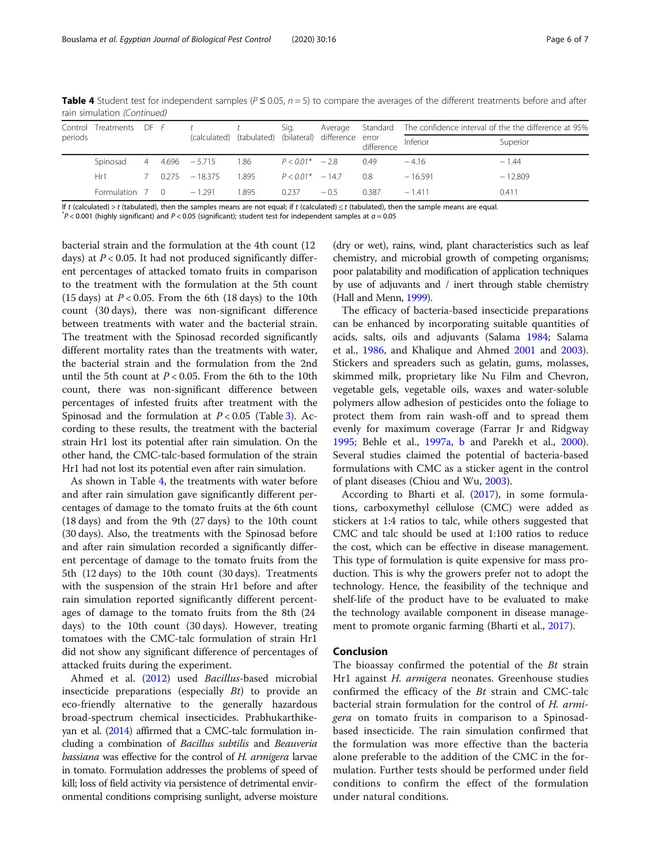| Control<br>periods | Treatments      | $DF$ $F$ $t$ |                              | (calculated) (tabulated) (bilateral) | Sig.               | difference | error<br>difference | Average Standard The confidence interval of the the difference at 95% |           |
|--------------------|-----------------|--------------|------------------------------|--------------------------------------|--------------------|------------|---------------------|-----------------------------------------------------------------------|-----------|
|                    |                 |              |                              |                                      |                    |            |                     | Inferior                                                              | Superior  |
|                    | Spinosad        |              | $4 \quad 4.696 \quad -5.715$ | 1.86                                 | $P < 0.01^* - 2.8$ |            | 0.49                | $-4.16$                                                               | $-1.44$   |
|                    | Hr1 I           | 7 0.275      | $-18.375$                    | 1.895                                | $P < 0.01* -147$   |            | 08                  | $-16591$                                                              | $-12.809$ |
|                    | Formulation 7 0 |              | $-1.291$                     | 1.895                                | 0.237              | $-0.5$     | 0387                | $-1411$                                                               | 0.411     |

Table 4 Student test for independent samples ( $P \le 0.05$ ,  $n = 5$ ) to compare the averages of the different treatments before and after rain simulation (Continued)

If t (calculated) > t (tabulated), then the samples means are not equal; if t (calculated)  $\leq t$  (tabulated), then the sample means are equal.

 $P < 0.001$  (highly significant) and P < 0.05 (significant); student test for independent samples at  $\alpha = 0.05$ 

bacterial strain and the formulation at the 4th count (12 days) at  $P < 0.05$ . It had not produced significantly different percentages of attacked tomato fruits in comparison to the treatment with the formulation at the 5th count (15 days) at  $P < 0.05$ . From the 6th (18 days) to the 10th count (30 days), there was non-significant difference between treatments with water and the bacterial strain. The treatment with the Spinosad recorded significantly different mortality rates than the treatments with water, the bacterial strain and the formulation from the 2nd until the 5th count at  $P < 0.05$ . From the 6th to the 10th count, there was non-significant difference between percentages of infested fruits after treatment with the Spinosad and the formulation at  $P < 0.05$  (Table [3](#page-3-0)). According to these results, the treatment with the bacterial strain Hr1 lost its potential after rain simulation. On the other hand, the CMC-talc-based formulation of the strain Hr1 had not lost its potential even after rain simulation.

As shown in Table [4](#page-4-0), the treatments with water before and after rain simulation gave significantly different percentages of damage to the tomato fruits at the 6th count (18 days) and from the 9th (27 days) to the 10th count (30 days). Also, the treatments with the Spinosad before and after rain simulation recorded a significantly different percentage of damage to the tomato fruits from the 5th (12 days) to the 10th count (30 days). Treatments with the suspension of the strain Hr1 before and after rain simulation reported significantly different percentages of damage to the tomato fruits from the 8th (24 days) to the 10th count (30 days). However, treating tomatoes with the CMC-talc formulation of strain Hr1 did not show any significant difference of percentages of attacked fruits during the experiment.

Ahmed et al. [\(2012\)](#page-6-0) used Bacillus-based microbial insecticide preparations (especially Bt) to provide an eco-friendly alternative to the generally hazardous broad-spectrum chemical insecticides. Prabhukarthikeyan et al. [\(2014](#page-6-0)) affirmed that a CMC-talc formulation including a combination of Bacillus subtilis and Beauveria bassiana was effective for the control of H. armigera larvae in tomato. Formulation addresses the problems of speed of kill; loss of field activity via persistence of detrimental environmental conditions comprising sunlight, adverse moisture (dry or wet), rains, wind, plant characteristics such as leaf chemistry, and microbial growth of competing organisms; poor palatability and modification of application techniques by use of adjuvants and / inert through stable chemistry (Hall and Menn, [1999\)](#page-6-0).

The efficacy of bacteria-based insecticide preparations can be enhanced by incorporating suitable quantities of acids, salts, oils and adjuvants (Salama [1984;](#page-6-0) Salama et al., [1986](#page-6-0), and Khalique and Ahmed [2001](#page-6-0) and [2003](#page-6-0)). Stickers and spreaders such as gelatin, gums, molasses, skimmed milk, proprietary like Nu Film and Chevron, vegetable gels, vegetable oils, waxes and water-soluble polymers allow adhesion of pesticides onto the foliage to protect them from rain wash-off and to spread them evenly for maximum coverage (Farrar Jr and Ridgway [1995](#page-6-0); Behle et al., [1997a,](#page-6-0) [b](#page-6-0) and Parekh et al., [2000](#page-6-0)). Several studies claimed the potential of bacteria-based formulations with CMC as a sticker agent in the control of plant diseases (Chiou and Wu, [2003\)](#page-6-0).

According to Bharti et al. [\(2017](#page-6-0)), in some formulations, carboxymethyl cellulose (CMC) were added as stickers at 1:4 ratios to talc, while others suggested that CMC and talc should be used at 1:100 ratios to reduce the cost, which can be effective in disease management. This type of formulation is quite expensive for mass production. This is why the growers prefer not to adopt the technology. Hence, the feasibility of the technique and shelf-life of the product have to be evaluated to make the technology available component in disease management to promote organic farming (Bharti et al., [2017](#page-6-0)).

#### Conclusion

The bioassay confirmed the potential of the Bt strain Hr1 against H. armigera neonates. Greenhouse studies confirmed the efficacy of the Bt strain and CMC-talc bacterial strain formulation for the control of H. armigera on tomato fruits in comparison to a Spinosadbased insecticide. The rain simulation confirmed that the formulation was more effective than the bacteria alone preferable to the addition of the CMC in the formulation. Further tests should be performed under field conditions to confirm the effect of the formulation under natural conditions.